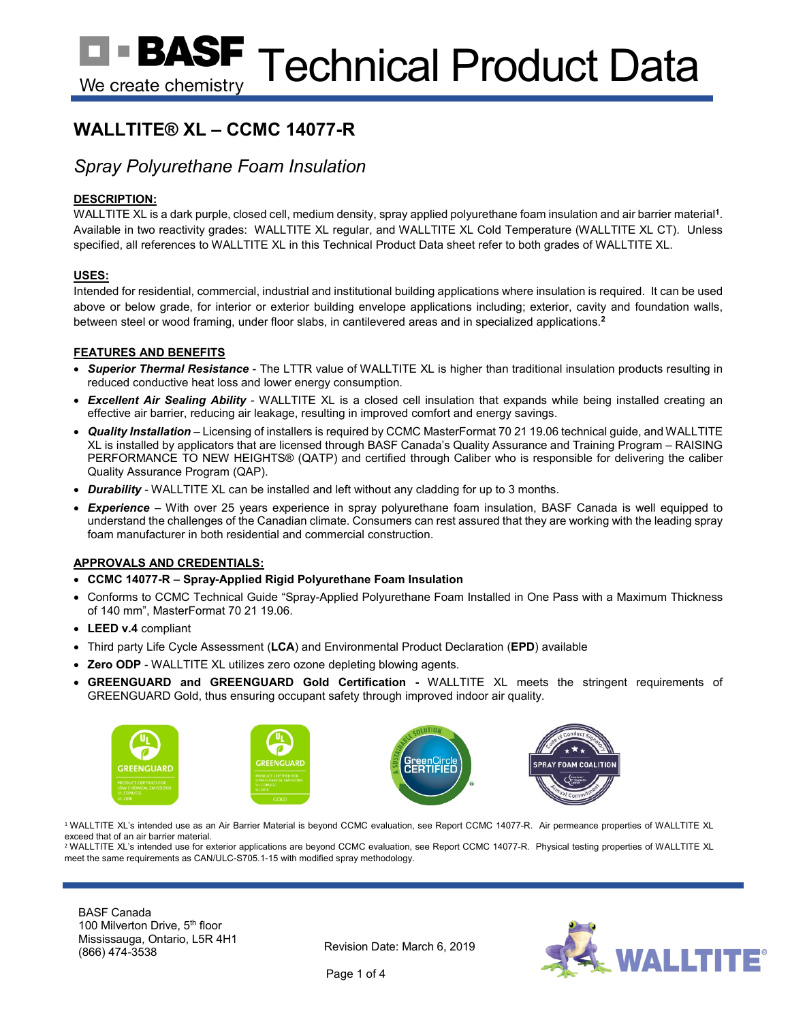# **WALLTITE® XL – CCMC 14077-R**

## *Spray Polyurethane Foam Insulation*

## **DESCRIPTION:**

WALLTITE XL is a dark purple, closed cell, medium density, spray applied polyurethane foam insulation and air barrier material**<sup>1</sup>**. Available in two reactivity grades: WALLTITE XL regular, and WALLTITE XL Cold Temperature (WALLTITE XL CT). Unless specified, all references to WALLTITE XL in this Technical Product Data sheet refer to both grades of WALLTITE XL.

## **USES:**

Intended for residential, commercial, industrial and institutional building applications where insulation is required. It can be used above or below grade, for interior or exterior building envelope applications including; exterior, cavity and foundation walls, between steel or wood framing, under floor slabs, in cantilevered areas and in specialized applications.**<sup>2</sup>**

## **FEATURES AND BENEFITS**

- *Superior Thermal Resistance* The LTTR value of WALLTITE XL is higher than traditional insulation products resulting in reduced conductive heat loss and lower energy consumption.
- *Excellent Air Sealing Ability* WALLTITE XL is a closed cell insulation that expands while being installed creating an effective air barrier, reducing air leakage, resulting in improved comfort and energy savings.
- *Quality Installation* Licensing of installers is required by CCMC MasterFormat 70 21 19.06 technical guide, and WALLTITE XL is installed by applicators that are licensed through BASF Canada's Quality Assurance and Training Program – RAISING PERFORMANCE TO NEW HEIGHTS® (QATP) and certified through Caliber who is responsible for delivering the caliber Quality Assurance Program (QAP).
- *Durability* WALLTITE XL can be installed and left without any cladding for up to 3 months.
- *Experience* With over 25 years experience in spray polyurethane foam insulation, BASF Canada is well equipped to understand the challenges of the Canadian climate. Consumers can rest assured that they are working with the leading spray foam manufacturer in both residential and commercial construction.

### **APPROVALS AND CREDENTIALS:**

- **CCMC 14077-R – Spray-Applied Rigid Polyurethane Foam Insulation**
- Conforms to CCMC Technical Guide "Spray-Applied Polyurethane Foam Installed in One Pass with a Maximum Thickness of 140 mm", MasterFormat 70 21 19.06.
- **LEED v.4** compliant
- Third party Life Cycle Assessment (**LCA**) and Environmental Product Declaration (**EPD**) available
- **Zero ODP** WALLTITE XL utilizes zero ozone depleting blowing agents.
- **GREENGUARD and GREENGUARD Gold Certification -** WALLTITE XL meets the stringent requirements of GREENGUARD Gold, thus ensuring occupant safety through improved indoor air quality.



<sup>1</sup> WALLTITE XL's intended use as an Air Barrier Material is beyond CCMC evaluation, see Report CCMC 14077-R. Air permeance properties of WALLTITE XL exceed that of an air barrier material.

<sup>2</sup> WALLTITE XL's intended use for exterior applications are beyond CCMC evaluation, see Report CCMC 14077-R. Physical testing properties of WALLTITE XL meet the same requirements as CAN/ULC-S705.1-15 with modified spray methodology.

BASF Canada 100 Milverton Drive, 5th floor Mississauga, Ontario, L5R 4H1 Revision Date: March 6, 2019<br>(866) 474-3538

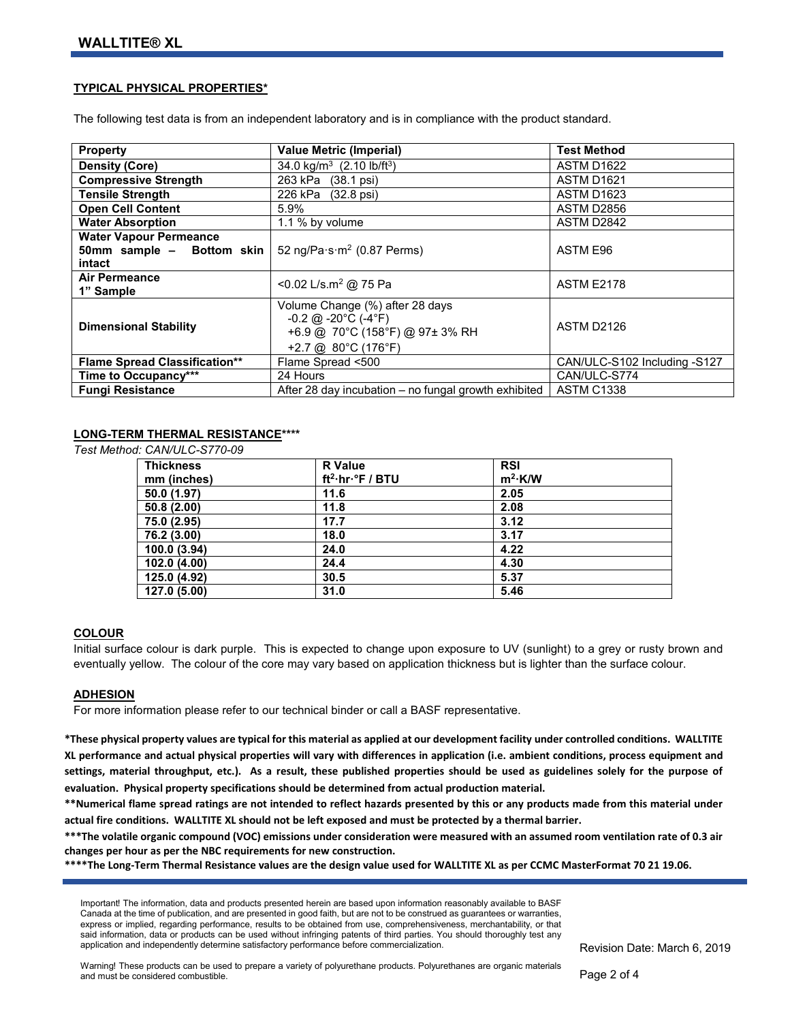#### **TYPICAL PHYSICAL PROPERTIES\***

The following test data is from an independent laboratory and is in compliance with the product standard.

| <b>Property</b>                                                      | <b>Value Metric (Imperial)</b>                                                                                                                               | <b>Test Method</b>           |
|----------------------------------------------------------------------|--------------------------------------------------------------------------------------------------------------------------------------------------------------|------------------------------|
| Density (Core)                                                       | 34.0 kg/m <sup>3</sup> (2.10 lb/ft <sup>3</sup> )                                                                                                            | <b>ASTM D1622</b>            |
| <b>Compressive Strength</b>                                          | 263 kPa (38.1 psi)                                                                                                                                           | ASTM D1621                   |
| <b>Tensile Strength</b>                                              | 226 kPa (32.8 psi)                                                                                                                                           | ASTM D1623                   |
| <b>Open Cell Content</b>                                             | 5.9%                                                                                                                                                         | ASTM D2856                   |
| <b>Water Absorption</b>                                              | 1.1 % by volume                                                                                                                                              | ASTM D2842                   |
| <b>Water Vapour Permeance</b><br>50mm sample - Bottom skin<br>intact | 52 ng/Pa $\cdot$ s $\cdot$ m <sup>2</sup> (0.87 Perms)                                                                                                       | ASTM E96                     |
| <b>Air Permeance</b><br>1" Sample                                    | <0.02 L/s.m <sup>2</sup> @ 75 Pa                                                                                                                             | <b>ASTM E2178</b>            |
| <b>Dimensional Stability</b>                                         | Volume Change (%) after 28 days<br>$-0.2$ @ $-20^{\circ}$ C ( $-4^{\circ}$ F)<br>+6.9 @ 70°C (158°F) @ 97± 3% RH<br>+2.7 @ $80^{\circ}$ C (176 $^{\circ}$ F) | ASTM D2126                   |
| <b>Flame Spread Classification**</b>                                 | Flame Spread <500                                                                                                                                            | CAN/ULC-S102 Including -S127 |
| Time to Occupancy***                                                 | 24 Hours                                                                                                                                                     | CAN/ULC-S774                 |
| <b>Fungi Resistance</b>                                              | After 28 day incubation – no fungal growth exhibited                                                                                                         | <b>ASTM C1338</b>            |

## **LONG-TERM THERMAL RESISTANCE\*\*\*\***

*Test Method: CAN/ULC-S770-09*

| <b>Thickness</b> | <b>R</b> Value                     | <b>RSI</b> |  |
|------------------|------------------------------------|------------|--|
| mm (inches)      | $ft^2\cdot hr\cdot^{\circ}F / BTU$ | $m^2$ ·K/W |  |
| 50.0 (1.97)      | 11.6                               | 2.05       |  |
| 50.8(2.00)       | 11.8                               | 2.08       |  |
| 75.0 (2.95)      | 17.7                               | 3.12       |  |
| 76.2 (3.00)      | 18.0                               | 3.17       |  |
| 100.0 (3.94)     | 24.0                               | 4.22       |  |
| 102.0 (4.00)     | 24.4                               | 4.30       |  |
| 125.0 (4.92)     | 30.5                               | 5.37       |  |
| 127.0 (5.00)     | 31.0                               | 5.46       |  |

#### **COLOUR**

Initial surface colour is dark purple. This is expected to change upon exposure to UV (sunlight) to a grey or rusty brown and eventually yellow. The colour of the core may vary based on application thickness but is lighter than the surface colour.

#### **ADHESION**

For more information please refer to our technical binder or call a BASF representative.

**\*These physical property values are typical for this material as applied at our development facility under controlled conditions. WALLTITE XL performance and actual physical properties will vary with differences in application (i.e. ambient conditions, process equipment and settings, material throughput, etc.). As a result, these published properties should be used as guidelines solely for the purpose of evaluation. Physical property specifications should be determined from actual production material.** 

**\*\*Numerical flame spread ratings are not intended to reflect hazards presented by this or any products made from this material under actual fire conditions. WALLTITE XL should not be left exposed and must be protected by a thermal barrier.** 

**\*\*\*The volatile organic compound (VOC) emissions under consideration were measured with an assumed room ventilation rate of 0.3 air changes per hour as per the NBC requirements for new construction.**

**\*\*\*\*The Long-Term Thermal Resistance values are the design value used for WALLTITE XL as per CCMC MasterFormat 70 21 19.06.** 

Important! The information, data and products presented herein are based upon information reasonably available to BASF Canada at the time of publication, and are presented in good faith, but are not to be construed as guarantees or warranties, express or implied, regarding performance, results to be obtained from use, comprehensiveness, merchantability, or that said information, data or products can be used without infringing patents of third parties. You should thoroughly test any application and independently determine satisfactory performance before commercialization.

Revision Date: March 6, 2019

Warning! These products can be used to prepare a variety of polyurethane products. Polyurethanes are organic materials and must be considered combustible.

Page 2 of 4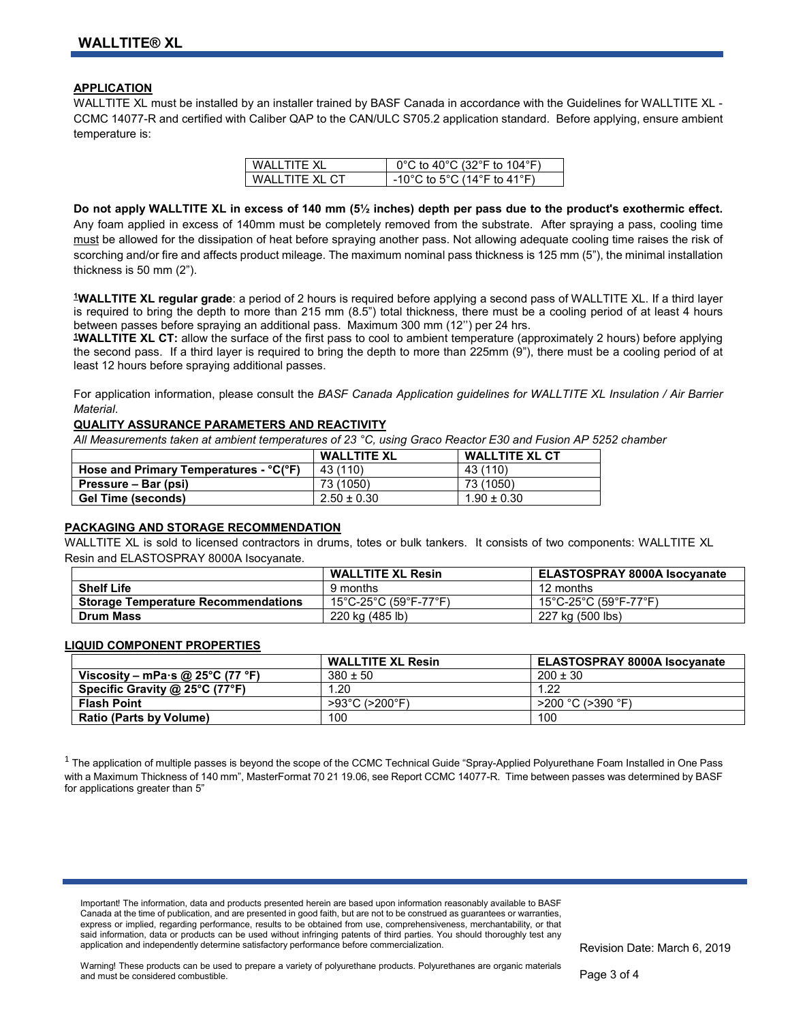#### **APPLICATION**

WALLTITE XL must be installed by an installer trained by BASF Canada in accordance with the Guidelines for WALLTITE XL -CCMC 14077-R and certified with Caliber QAP to the CAN/ULC S705.2 application standard. Before applying, ensure ambient temperature is:

| WALL TITE XI     | 0°C to 40°C (32°F to 104°F) |
|------------------|-----------------------------|
| WALL TITE XL CT. | -10°C to 5°C (14°F to 41°F) |

**Do not apply WALLTITE XL in excess of 140 mm (5½ inches) depth per pass due to the product's exothermic effect.**  Any foam applied in excess of 140mm must be completely removed from the substrate. After spraying a pass, cooling time must be allowed for the dissipation of heat before spraying another pass. Not allowing adequate cooling time raises the risk of scorching and/or fire and affects product mileage. The maximum nominal pass thickness is 125 mm (5"), the minimal installation thickness is 50 mm (2").

**1WALLTITE XL regular grade**: a period of 2 hours is required before applying a second pass of WALLTITE XL. If a third layer is required to bring the depth to more than 215 mm (8.5") total thickness, there must be a cooling period of at least 4 hours between passes before spraying an additional pass. Maximum 300 mm (12'') per 24 hrs.

**1WALLTITE XL CT:** allow the surface of the first pass to cool to ambient temperature (approximately 2 hours) before applying the second pass. If a third layer is required to bring the depth to more than 225mm (9"), there must be a cooling period of at least 12 hours before spraying additional passes.

For application information, please consult the *BASF Canada Application guidelines for WALLTITE XL Insulation / Air Barrier Material*.

#### **QUALITY ASSURANCE PARAMETERS AND REACTIVITY**

*All Measurements taken at ambient temperatures of 23 °C, using Graco Reactor E30 and Fusion AP 5252 chamber* 

|                                        | <b>WALLTITE XL</b> | <b>WALLTITE XL CT</b> |
|----------------------------------------|--------------------|-----------------------|
| Hose and Primary Temperatures - °C(°F) | 43 (110)           | 43 (110)              |
| Pressure – Bar (psi)                   | 73 (1050)          | 73 (1050)             |
| Gel Time (seconds)                     | $2.50 \pm 0.30$    | $1.90 \pm 0.30$       |

#### **PACKAGING AND STORAGE RECOMMENDATION**

WALLTITE XL is sold to licensed contractors in drums, totes or bulk tankers. It consists of two components: WALLTITE XL Resin and ELASTOSPRAY 8000A Isocyanate.

|                                            | <b>WALLTITE XL Resin</b> | <b>ELASTOSPRAY 8000A Isocyanate</b> |
|--------------------------------------------|--------------------------|-------------------------------------|
| <b>Shelf Life</b>                          | 9 months                 | 12 months                           |
| <b>Storage Temperature Recommendations</b> | 15°C-25°C (59°F-77°F)    | 15°C-25°C (59°F-77°F)               |
| <b>Drum Mass</b>                           | 220 kg (485 lb)          | 227 kg (500 lbs)                    |

#### **LIQUID COMPONENT PROPERTIES**

|                                  | <b>WALLTITE XL Resin</b>            | <b>ELASTOSPRAY 8000A Isocvanate</b> |
|----------------------------------|-------------------------------------|-------------------------------------|
| Viscosity – mPa·s @ 25°C (77 °F) | $380 \pm 50$                        | $200 \pm 30$                        |
| Specific Gravity @ 25°C (77°F)   | .20                                 | 1.22                                |
| <b>Flash Point</b>               | $>93^{\circ}$ C ( $>200^{\circ}$ F) | $>$ 200 °C ( $>$ 390 °F)            |
| <b>Ratio (Parts by Volume)</b>   | 100                                 | 100                                 |

 $1$  The application of multiple passes is beyond the scope of the CCMC Technical Guide "Spray-Applied Polyurethane Foam Installed in One Pass with a Maximum Thickness of 140 mm", MasterFormat 70 21 19.06, see Report CCMC 14077-R. Time between passes was determined by BASF for applications greater than 5"

Important! The information, data and products presented herein are based upon information reasonably available to BASF Canada at the time of publication, and are presented in good faith, but are not to be construed as guarantees or warranties, express or implied, regarding performance, results to be obtained from use, comprehensiveness, merchantability, or that said information, data or products can be used without infringing patents of third parties. You should thoroughly test any application and independently determine satisfactory performance before commercialization.

Revision Date: March 6, 2019

Warning! These products can be used to prepare a variety of polyurethane products. Polyurethanes are organic materials and must be considered combustible.

Page 3 of 4